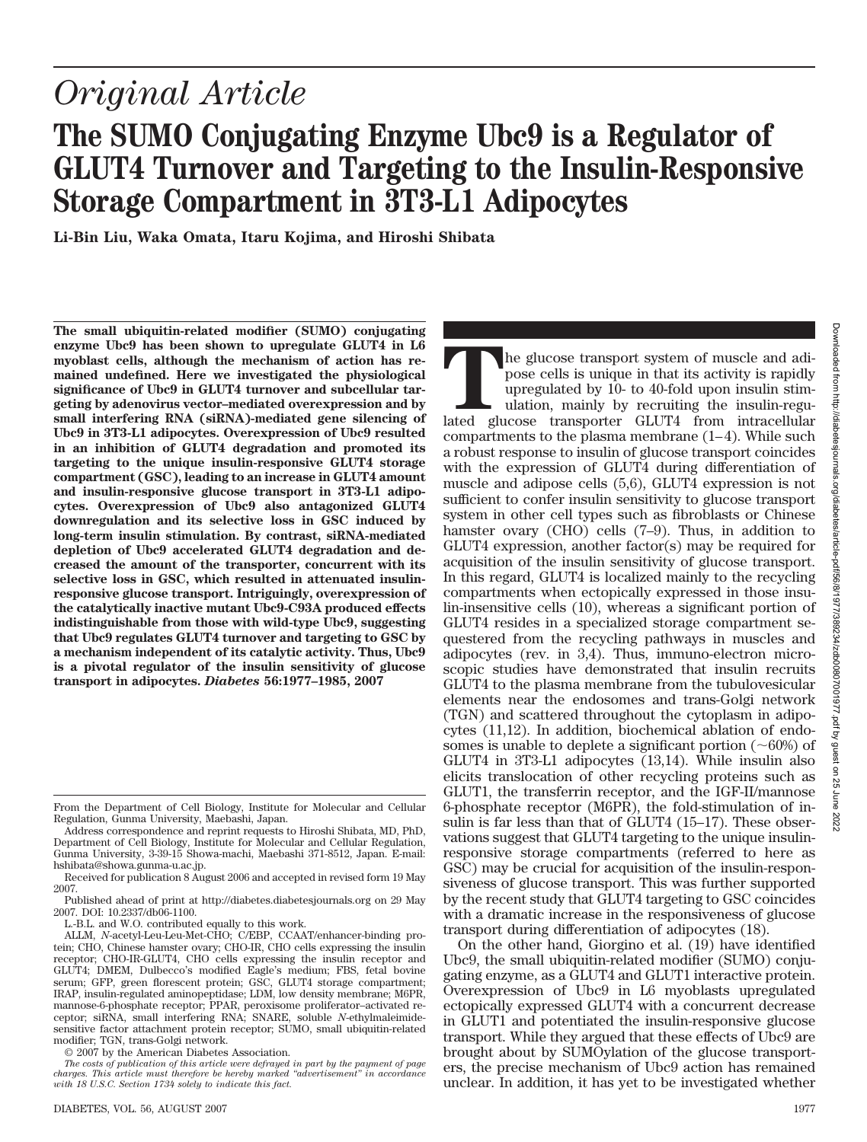# *Original Article* **The SUMO Conjugating Enzyme Ubc9 is a Regulator of GLUT4 Turnover and Targeting to the Insulin-Responsive Storage Compartment in 3T3-L1 Adipocytes**

**Li-Bin Liu, Waka Omata, Itaru Kojima, and Hiroshi Shibata**

**The small ubiquitin-related modifier (SUMO) conjugating enzyme Ubc9 has been shown to upregulate GLUT4 in L6 myoblast cells, although the mechanism of action has remained undefined. Here we investigated the physiological significance of Ubc9 in GLUT4 turnover and subcellular targeting by adenovirus vector–mediated overexpression and by small interfering RNA (siRNA)-mediated gene silencing of Ubc9 in 3T3-L1 adipocytes. Overexpression of Ubc9 resulted in an inhibition of GLUT4 degradation and promoted its targeting to the unique insulin-responsive GLUT4 storage compartment (GSC), leading to an increase in GLUT4 amount and insulin-responsive glucose transport in 3T3-L1 adipocytes. Overexpression of Ubc9 also antagonized GLUT4 downregulation and its selective loss in GSC induced by long-term insulin stimulation. By contrast, siRNA-mediated depletion of Ubc9 accelerated GLUT4 degradation and decreased the amount of the transporter, concurrent with its selective loss in GSC, which resulted in attenuated insulinresponsive glucose transport. Intriguingly, overexpression of the catalytically inactive mutant Ubc9-C93A produced effects indistinguishable from those with wild-type Ubc9, suggesting that Ubc9 regulates GLUT4 turnover and targeting to GSC by a mechanism independent of its catalytic activity. Thus, Ubc9 is a pivotal regulator of the insulin sensitivity of glucose transport in adipocytes.** *Diabetes* **56:1977–1985, 2007**

Published ahead of print at http://diabetes.diabetesjournals.org on 29 May 2007. DOI: 10.2337/db06-1100.

L.-B.L. and W.O. contributed equally to this work.

© 2007 by the American Diabetes Association.

**T**he glucose transport system of muscle and adipose cells is unique in that its activity is rapidly upregulated by 10- to 40-fold upon insulin stimulation, mainly by recruiting the insulin-regulated glucose transporter GLUT4 from intracellular compartments to the plasma membrane (1–4). While such a robust response to insulin of glucose transport coincides with the expression of GLUT4 during differentiation of muscle and adipose cells (5,6), GLUT4 expression is not sufficient to confer insulin sensitivity to glucose transport system in other cell types such as fibroblasts or Chinese hamster ovary (CHO) cells (7–9). Thus, in addition to GLUT4 expression, another factor(s) may be required for acquisition of the insulin sensitivity of glucose transport. In this regard, GLUT4 is localized mainly to the recycling compartments when ectopically expressed in those insulin-insensitive cells (10), whereas a significant portion of GLUT4 resides in a specialized storage compartment sequestered from the recycling pathways in muscles and adipocytes (rev. in 3,4). Thus, immuno-electron microscopic studies have demonstrated that insulin recruits GLUT4 to the plasma membrane from the tubulovesicular elements near the endosomes and trans-Golgi network (TGN) and scattered throughout the cytoplasm in adipocytes (11,12). In addition, biochemical ablation of endosomes is unable to deplete a significant portion  $(\sim 60\%)$  of GLUT4 in 3T3-L1 adipocytes (13,14). While insulin also elicits translocation of other recycling proteins such as GLUT1, the transferrin receptor, and the IGF-II/mannose 6-phosphate receptor (M6PR), the fold-stimulation of insulin is far less than that of GLUT4 (15–17). These observations suggest that GLUT4 targeting to the unique insulinresponsive storage compartments (referred to here as GSC) may be crucial for acquisition of the insulin-responsiveness of glucose transport. This was further supported by the recent study that GLUT4 targeting to GSC coincides with a dramatic increase in the responsiveness of glucose transport during differentiation of adipocytes (18).

On the other hand, Giorgino et al. (19) have identified Ubc9, the small ubiquitin-related modifier (SUMO) conjugating enzyme, as a GLUT4 and GLUT1 interactive protein. Overexpression of Ubc9 in L6 myoblasts upregulated ectopically expressed GLUT4 with a concurrent decrease in GLUT1 and potentiated the insulin-responsive glucose transport. While they argued that these effects of Ubc9 are brought about by SUMOylation of the glucose transporters, the precise mechanism of Ubc9 action has remained unclear. In addition, it has yet to be investigated whether

From the Department of Cell Biology, Institute for Molecular and Cellular Regulation, Gunma University, Maebashi, Japan.

Address correspondence and reprint requests to Hiroshi Shibata, MD, PhD, Department of Cell Biology, Institute for Molecular and Cellular Regulation, Gunma University, 3-39-15 Showa-machi, Maebashi 371-8512, Japan. E-mail: hshibata@showa.gunma-u.ac.jp.

Received for publication 8 August 2006 and accepted in revised form 19 May 2007.

ALLM, *N*-acetyl-Leu-Leu-Met-CHO; C/EBP, CCAAT/enhancer-binding protein; CHO, Chinese hamster ovary; CHO-IR, CHO cells expressing the insulin receptor; CHO-IR-GLUT4, CHO cells expressing the insulin receptor and GLUT4; DMEM, Dulbecco's modified Eagle's medium; FBS, fetal bovine serum; GFP, green florescent protein; GSC, GLUT4 storage compartment; IRAP, insulin-regulated aminopeptidase; LDM, low density membrane; M6PR, mannose-6-phosphate receptor; PPAR, peroxisome proliferator–activated re-ceptor; siRNA, small interfering RNA; SNARE, soluble *N*-ethylmaleimidesensitive factor attachment protein receptor; SUMO, small ubiquitin-related modifier; TGN, trans-Golgi network.

*The costs of publication of this article were defrayed in part by the payment of page charges. This article must therefore be hereby marked "advertisement" in accordance with 18 U.S.C. Section 1734 solely to indicate this fact.*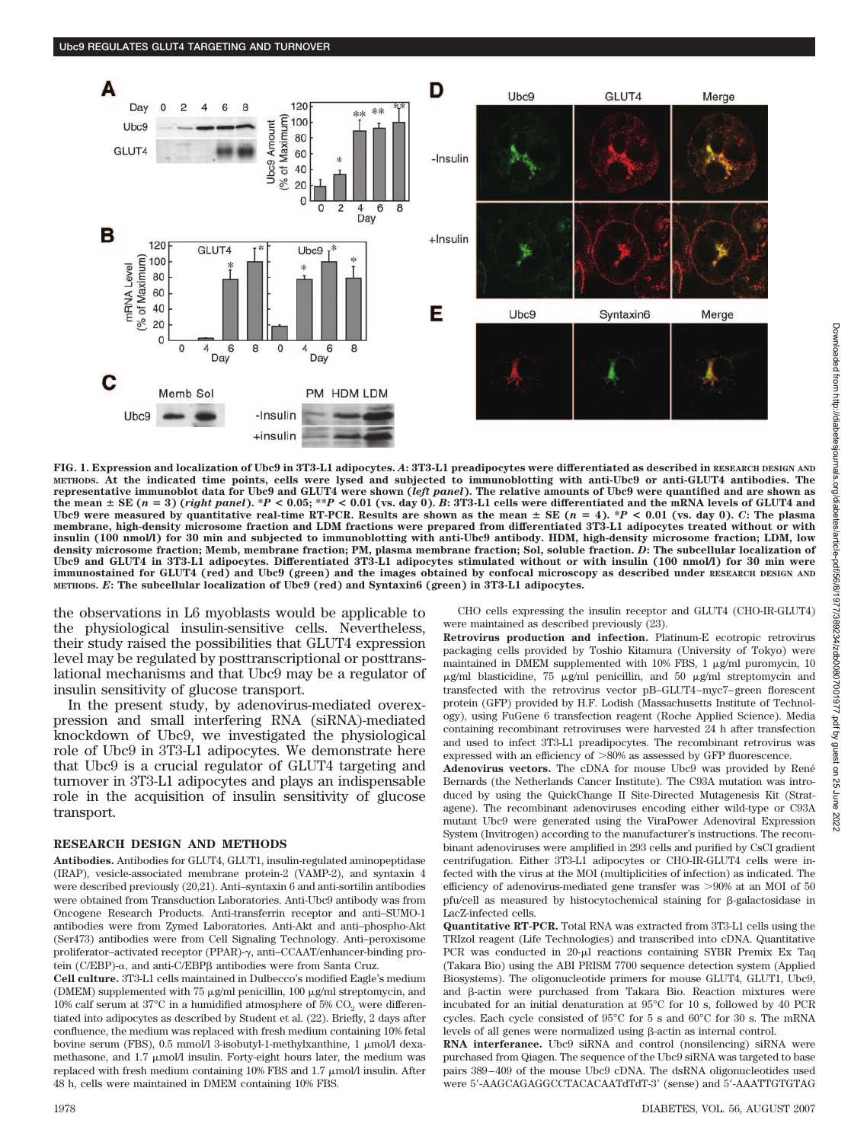

**FIG. 1. Expression and localization of Ubc9 in 3T3-L1 adipocytes.** *A***: 3T3-L1 preadipocytes were differentiated as described in RESEARCH DESIGN AND METHODS. At the indicated time points, cells were lysed and subjected to immunoblotting with anti-Ubc9 or anti-GLUT4 antibodies. The representative immunoblot data for Ubc9 and GLUT4 were shown (***left panel***). The relative amounts of Ubc9 were quantified and are shown as** the mean  $\pm$  SE (n = 3) (right panel). \*P < 0.05; \*\*P < 0.01 (vs. day 0). B: 3T3-L1 cells were differentiated and the mRNA levels of GLUT4 and Ubc9 were measured by quantitative real-time RT-PCR. Results are shown as the mean  $\pm$  SE ( $n = 4$ ). \* $P < 0.01$  (vs. day 0). *C*: The plasma **membrane, high-density microsome fraction and LDM fractions were prepared from differentiated 3T3-L1 adipocytes treated without or with insulin (100 nmol/l) for 30 min and subjected to immunoblotting with anti-Ubc9 antibody. HDM, high-density microsome fraction; LDM, low density microsome fraction; Memb, membrane fraction; PM, plasma membrane fraction; Sol, soluble fraction.** *D***: The subcellular localization of Ubc9 and GLUT4 in 3T3-L1 adipocytes. Differentiated 3T3-L1 adipocytes stimulated without or with insulin (100 nmol/l) for 30 min were immunostained for GLUT4 (red) and Ubc9 (green) and the images obtained by confocal microscopy as described under RESEARCH DESIGN AND METHODS.** *E***: The subcellular localization of Ubc9 (red) and Syntaxin6 (green) in 3T3-L1 adipocytes.**

the observations in L6 myoblasts would be applicable to the physiological insulin-sensitive cells. Nevertheless, their study raised the possibilities that GLUT4 expression level may be regulated by posttranscriptional or posttranslational mechanisms and that Ubc9 may be a regulator of insulin sensitivity of glucose transport.

In the present study, by adenovirus-mediated overexpression and small interfering RNA (siRNA)-mediated knockdown of Ubc9, we investigated the physiological role of Ubc9 in 3T3-L1 adipocytes. We demonstrate here that Ubc9 is a crucial regulator of GLUT4 targeting and turnover in 3T3-L1 adipocytes and plays an indispensable role in the acquisition of insulin sensitivity of glucose transport.

#### **RESEARCH DESIGN AND METHODS**

**Antibodies.** Antibodies for GLUT4, GLUT1, insulin-regulated aminopeptidase (IRAP), vesicle-associated membrane protein-2 (VAMP-2), and syntaxin 4 were described previously (20,21). Anti–syntaxin 6 and anti-sortilin antibodies were obtained from Transduction Laboratories. Anti-Ubc9 antibody was from Oncogene Research Products. Anti-transferrin receptor and anti–SUMO-1 antibodies were from Zymed Laboratories. Anti-Akt and anti–phospho-Akt (Ser473) antibodies were from Cell Signaling Technology. Anti–peroxisome proliferator–activated receptor (PPAR)-γ, anti–CCAAT/enhancer-binding protein (C/EBP)- $\alpha$ , and anti-C/EBP $\beta$  antibodies were from Santa Cruz.

**Cell culture.** 3T3-L1 cells maintained in Dulbecco's modified Eagle's medium (DMEM) supplemented with 75  $\mu$ g/ml penicillin, 100  $\mu$ g/ml streptomycin, and 10% calf serum at  $37^{\circ}$ C in a humidified atmosphere of 5% CO<sub>2</sub> were differentiated into adipocytes as described by Student et al. (22). Briefly, 2 days after confluence, the medium was replaced with fresh medium containing 10% fetal bovine serum (FBS), 0.5 mmol/l 3-isobutyl-1-methylxanthine, 1 mol/l dexamethasone, and  $1.7 \mu m$ ol/l insulin. Forty-eight hours later, the medium was replaced with fresh medium containing  $10\%$  FBS and  $1.7 \mu$ mol/l insulin. After 48 h, cells were maintained in DMEM containing 10% FBS.

CHO cells expressing the insulin receptor and GLUT4 (CHO-IR-GLUT4) were maintained as described previously (23).

**Retrovirus production and infection.** Platinum-E ecotropic retrovirus packaging cells provided by Toshio Kitamura (University of Tokyo) were maintained in DMEM supplemented with 10% FBS, 1  $\mu$ g/ml puromycin, 10  $\mu$ g/ml blasticidine, 75  $\mu$ g/ml penicillin, and 50  $\mu$ g/ml streptomycin and transfected with the retrovirus vector pB–GLUT4–myc7–green florescent protein (GFP) provided by H.F. Lodish (Massachusetts Institute of Technology), using FuGene 6 transfection reagent (Roche Applied Science). Media containing recombinant retroviruses were harvested 24 h after transfection and used to infect 3T3-L1 preadipocytes. The recombinant retrovirus was expressed with an efficiency of  $> \! 80\%$  as assessed by GFP fluorescence.

Adenovirus vectors. The cDNA for mouse Ubc9 was provided by René Bernards (the Netherlands Cancer Institute). The C93A mutation was introduced by using the QuickChange II Site-Directed Mutagenesis Kit (Stratagene). The recombinant adenoviruses encoding either wild-type or C93A mutant Ubc9 were generated using the ViraPower Adenoviral Expression System (Invitrogen) according to the manufacturer's instructions. The recombinant adenoviruses were amplified in 293 cells and purified by CsCl gradient centrifugation. Either 3T3-L1 adipocytes or CHO-IR-GLUT4 cells were infected with the virus at the MOI (multiplicities of infection) as indicated. The efficiency of adenovirus-mediated gene transfer was  $>90\%$  at an MOI of 50 pfu/cell as measured by histocytochemical staining for  $\beta$ -galactosidase in LacZ-infected cells.

**Quantitative RT-PCR.** Total RNA was extracted from 3T3-L1 cells using the TRIzol reagent (Life Technologies) and transcribed into cDNA. Quantitative PCR was conducted in 20-µl reactions containing SYBR Premix Ex Taq (Takara Bio) using the ABI PRISM 7700 sequence detection system (Applied Biosystems). The oligonucleotide primers for mouse GLUT4, GLUT1, Ubc9, and  $\beta$ -actin were purchased from Takara Bio. Reaction mixtures were incubated for an initial denaturation at 95°C for 10 s, followed by 40 PCR cycles. Each cycle consisted of 95°C for 5 s and 60°C for 30 s. The mRNA levels of all genes were normalized using  $\beta$ -actin as internal control.

**RNA interferance.** Ubc9 siRNA and control (nonsilencing) siRNA were purchased from Qiagen. The sequence of the Ubc9 siRNA was targeted to base pairs 389–409 of the mouse Ubc9 cDNA. The dsRNA oligonucleotides used were 5'-AAGCAGAGGCCTACACAATdTdT-3' (sense) and 5'-AAATTGTGTAG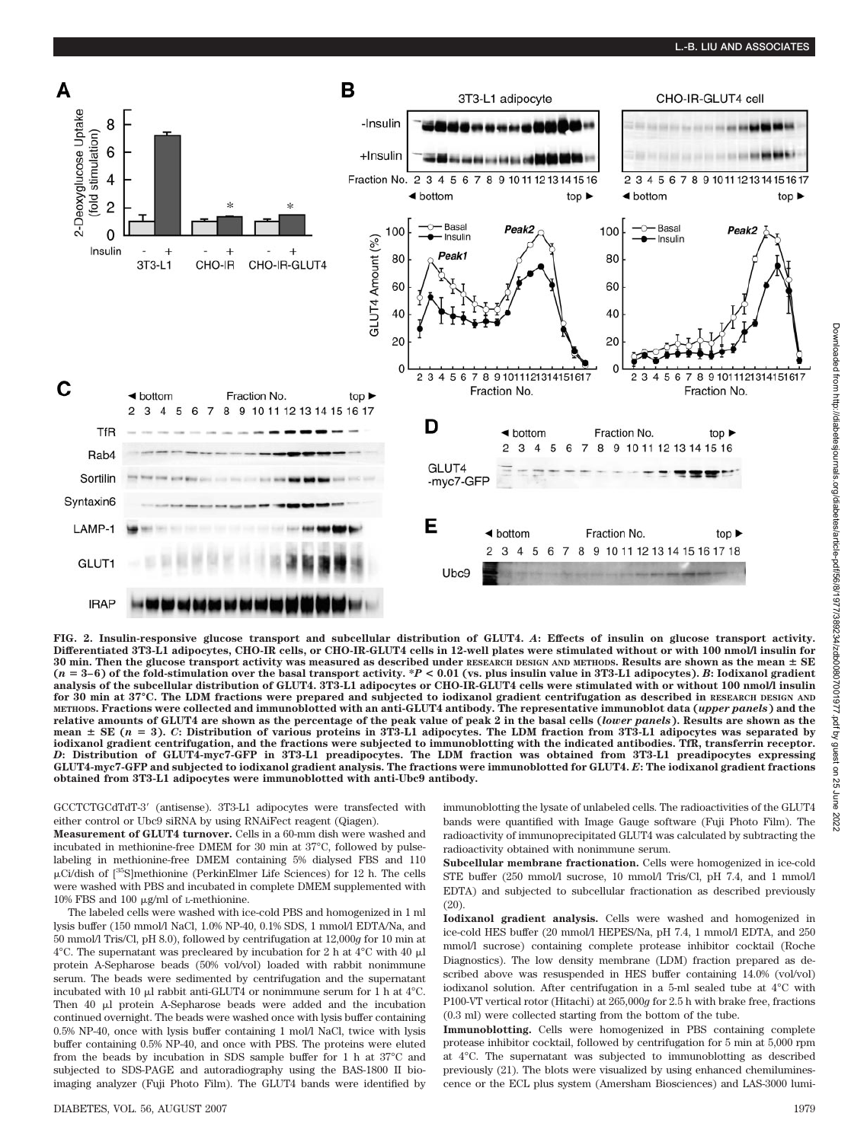## **L.-B. LIU AND ASSOCIATES**



**FIG. 2. Insulin-responsive glucose transport and subcellular distribution of GLUT4.** *A***: Effects of insulin on glucose transport activity. Differentiated 3T3-L1 adipocytes, CHO-IR cells, or CHO-IR-GLUT4 cells in 12-well plates were stimulated without or with 100 nmol/l insulin for 30 min. Then the glucose transport activity was measured as described under RESEARCH DESIGN AND METHODS. Results are shown as the mean SE (***n* - **3– 6) of the fold-stimulation over the basal transport activity. \****P* **< 0.01 (vs. plus insulin value in 3T3-L1 adipocytes).** *B***: Iodixanol gradient analysis of the subcellular distribution of GLUT4. 3T3-L1 adipocytes or CHO-IR-GLUT4 cells were stimulated with or without 100 nmol/l insulin for 30 min at 37°C. The LDM fractions were prepared and subjected to iodixanol gradient centrifugation as described in RESEARCH DESIGN AND METHODS. Fractions were collected and immunoblotted with an anti-GLUT4 antibody. The representative immunoblot data (***upper panels***) and the relative amounts of GLUT4 are shown as the percentage of the peak value of peak 2 in the basal cells (***lower panels***). Results are shown as the mean SE (***n* - **3).** *C***: Distribution of various proteins in 3T3-L1 adipocytes. The LDM fraction from 3T3-L1 adipocytes was separated by iodixanol gradient centrifugation, and the fractions were subjected to immunoblotting with the indicated antibodies. TfR, transferrin receptor.** *D***: Distribution of GLUT4-myc7-GFP in 3T3-L1 preadipocytes. The LDM fraction was obtained from 3T3-L1 preadipocytes expressing GLUT4-myc7-GFP and subjected to iodixanol gradient analysis. The fractions were immunoblotted for GLUT4.** *E***: The iodixanol gradient fractions obtained from 3T3-L1 adipocytes were immunoblotted with anti-Ubc9 antibody.**

GCCTCTGCdTdT-3 (antisense). 3T3-L1 adipocytes were transfected with either control or Ubc9 siRNA by using RNAiFect reagent (Qiagen).

**Measurement of GLUT4 turnover.** Cells in a 60-mm dish were washed and incubated in methionine-free DMEM for 30 min at 37°C, followed by pulselabeling in methionine-free DMEM containing 5% dialysed FBS and 110  $\mu$ Ci/dish of  $\int^{35}$ S]methionine (PerkinElmer Life Sciences) for 12 h. The cells were washed with PBS and incubated in complete DMEM supplemented with 10% FBS and 100  $\mu$ g/ml of L-methionine.

The labeled cells were washed with ice-cold PBS and homogenized in 1 ml lysis buffer (150 mmol/l NaCl, 1.0% NP-40, 0.1% SDS, 1 mmol/l EDTA/Na, and 50 mmol/l Tris/Cl, pH 8.0), followed by centrifugation at 12,000*g* for 10 min at 4°C. The supernatant was precleared by incubation for 2 h at 4°C with 40  $\mu$ l protein A-Sepharose beads (50% vol/vol) loaded with rabbit nonimmune serum. The beads were sedimented by centrifugation and the supernatant incubated with 10  $\mu$ l rabbit anti-GLUT4 or nonimmune serum for 1 h at 4°C. Then  $40$   $\mu$ l protein A-Sepharose beads were added and the incubation continued overnight. The beads were washed once with lysis buffer containing 0.5% NP-40, once with lysis buffer containing 1 mol/l NaCl, twice with lysis buffer containing 0.5% NP-40, and once with PBS. The proteins were eluted from the beads by incubation in SDS sample buffer for 1 h at 37°C and subjected to SDS-PAGE and autoradiography using the BAS-1800 II bioimaging analyzer (Fuji Photo Film). The GLUT4 bands were identified by

immunoblotting the lysate of unlabeled cells. The radioactivities of the GLUT4 bands were quantified with Image Gauge software (Fuji Photo Film). The radioactivity of immunoprecipitated GLUT4 was calculated by subtracting the radioactivity obtained with nonimmune serum.

**Subcellular membrane fractionation.** Cells were homogenized in ice-cold STE buffer (250 mmol/l sucrose, 10 mmol/l Tris/Cl, pH 7.4, and 1 mmol/l EDTA) and subjected to subcellular fractionation as described previously (20).

**Iodixanol gradient analysis.** Cells were washed and homogenized in ice-cold HES buffer (20 mmol/l HEPES/Na, pH 7.4, 1 mmol/l EDTA, and 250 mmol/l sucrose) containing complete protease inhibitor cocktail (Roche Diagnostics). The low density membrane (LDM) fraction prepared as described above was resuspended in HES buffer containing 14.0% (vol/vol) iodixanol solution. After centrifugation in a 5-ml sealed tube at 4°C with P100-VT vertical rotor (Hitachi) at 265,000*g* for 2.5 h with brake free, fractions (0.3 ml) were collected starting from the bottom of the tube.

**Immunoblotting.** Cells were homogenized in PBS containing complete protease inhibitor cocktail, followed by centrifugation for 5 min at 5,000 rpm at 4°C. The supernatant was subjected to immunoblotting as described previously (21). The blots were visualized by using enhanced chemiluminescence or the ECL plus system (Amersham Biosciences) and LAS-3000 lumi-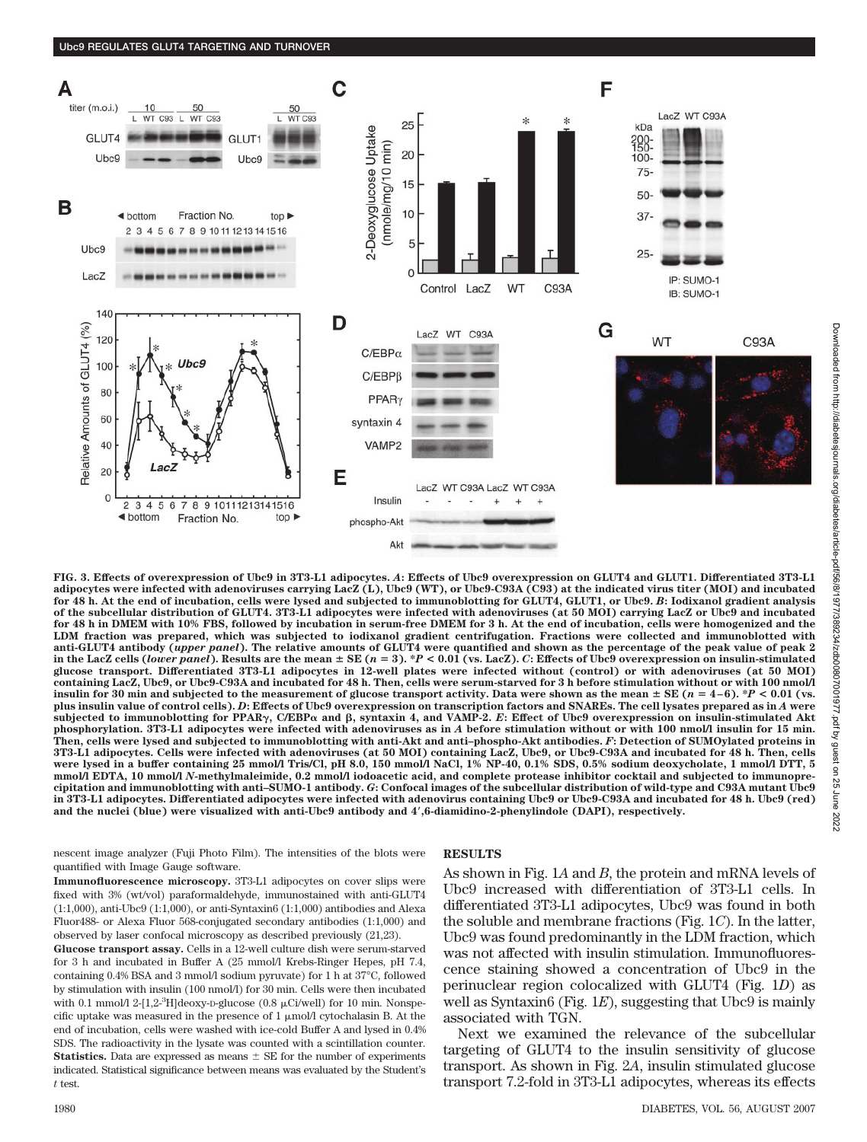

**FIG. 3. Effects of overexpression of Ubc9 in 3T3-L1 adipocytes.** *A***: Effects of Ubc9 overexpression on GLUT4 and GLUT1. Differentiated 3T3-L1 adipocytes were infected with adenoviruses carrying LacZ (L), Ubc9 (WT), or Ubc9-C93A (C93) at the indicated virus titer (MOI) and incubated for 48 h. At the end of incubation, cells were lysed and subjected to immunoblotting for GLUT4, GLUT1, or Ubc9.** *B***: Iodixanol gradient analysis of the subcellular distribution of GLUT4. 3T3-L1 adipocytes were infected with adenoviruses (at 50 MOI) carrying LacZ or Ubc9 and incubated for 48 h in DMEM with 10% FBS, followed by incubation in serum-free DMEM for 3 h. At the end of incubation, cells were homogenized and the LDM fraction was prepared, which was subjected to iodixanol gradient centrifugation. Fractions were collected and immunoblotted with anti-GLUT4 antibody (***upper panel***). The relative amounts of GLUT4 were quantified and shown as the percentage of the peak value of peak 2 in the LacZ cells (***lower panel***). Results are the mean SE (***n* - **3). \****P* **< 0.01 (vs. LacZ).** *C***: Effects of Ubc9 overexpression on insulin-stimulated glucose transport. Differentiated 3T3-L1 adipocytes in 12-well plates were infected without (control) or with adenoviruses (at 50 MOI) containing LacZ, Ubc9, or Ubc9-C93A and incubated for 48 h. Then, cells were serum-starved for 3 h before stimulation without or with 100 nmol/l** insulin for 30 min and subjected to the measurement of glucose transport activity. Data were shown as the mean  $\pm$  SE ( $n = 4-6$ ).  $^{\ast}P$  < 0.01 (vs. **plus insulin value of control cells).** *D***: Effects of Ubc9 overexpression on transcription factors and SNAREs. The cell lysates prepared as in** *A* **were** subjected to immunoblotting for PPAR<sub>Y</sub>, C/EBP $\alpha$  and  $\beta$ , syntaxin 4, and VAMP-2. E: Effect of Ubc9 overexpression on insulin-stimulated Akt **phosphorylation. 3T3-L1 adipocytes were infected with adenoviruses as in** *A* **before stimulation without or with 100 nmol/l insulin for 15 min. Then, cells were lysed and subjected to immunoblotting with anti-Akt and anti–phospho-Akt antibodies.** *F***: Detection of SUMOylated proteins in 3T3-L1 adipocytes. Cells were infected with adenoviruses (at 50 MOI) containing LacZ, Ubc9, or Ubc9-C93A and incubated for 48 h. Then, cells were lysed in a buffer containing 25 mmol/l Tris/Cl, pH 8.0, 150 mmol/l NaCl, 1% NP-40, 0.1% SDS, 0.5% sodium deoxycholate, 1 mmol/l DTT, 5 mmol/l EDTA, 10 mmol/l** *N***-methylmaleimide, 0.2 mmol/l iodoacetic acid, and complete protease inhibitor cocktail and subjected to immunoprecipitation and immunoblotting with anti–SUMO-1 antibody.** *G***: Confocal images of the subcellular distribution of wild-type and C93A mutant Ubc9 in 3T3-L1 adipocytes. Differentiated adipocytes were infected with adenovirus containing Ubc9 or Ubc9-C93A and incubated for 48 h. Ubc9 (red) and the nuclei (blue) were visualized with anti-Ubc9 antibody and 4,6-diamidino-2-phenylindole (DAPI), respectively.**

nescent image analyzer (Fuji Photo Film). The intensities of the blots were quantified with Image Gauge software.

## **Immunofluorescence microscopy.** 3T3-L1 adipocytes on cover slips were fixed with 3% (wt/vol) paraformaldehyde, immunostained with anti-GLUT4 (1:1,000), anti-Ubc9 (1:1,000), or anti-Syntaxin6 (1:1,000) antibodies and Alexa Fluor488- or Alexa Fluor 568-conjugated secondary antibodies (1:1,000) and observed by laser confocal microscopy as described previously (21,23).

**Glucose transport assay.** Cells in a 12-well culture dish were serum-starved for 3 h and incubated in Buffer A (25 mmol/l Krebs-Ringer Hepes, pH 7.4, containing 0.4% BSA and 3 mmol/l sodium pyruvate) for 1 h at 37°C, followed by stimulation with insulin (100 nmol/l) for 30 min. Cells were then incubated with 0.1 mmol/l 2-[1,2- ${}^{3}$ H]deoxy-D-glucose (0.8 µCi/well) for 10 min. Nonspecific uptake was measured in the presence of  $1 \mu \text{mol}/l$  cytochalasin B. At the end of incubation, cells were washed with ice-cold Buffer A and lysed in 0.4% SDS. The radioactivity in the lysate was counted with a scintillation counter. **Statistics.** Data are expressed as means  $\pm$  SE for the number of experiments indicated. Statistical significance between means was evaluated by the Student's *t* test.

# **RESULTS**

As shown in Fig. 1*A* and *B*, the protein and mRNA levels of Ubc9 increased with differentiation of 3T3-L1 cells. In differentiated 3T3-L1 adipocytes, Ubc9 was found in both the soluble and membrane fractions (Fig. 1*C*). In the latter, Ubc9 was found predominantly in the LDM fraction, which was not affected with insulin stimulation. Immunofluorescence staining showed a concentration of Ubc9 in the perinuclear region colocalized with GLUT4 (Fig. 1*D*) as well as Syntaxin6 (Fig. 1*E*), suggesting that Ubc9 is mainly associated with TGN.

Next we examined the relevance of the subcellular targeting of GLUT4 to the insulin sensitivity of glucose transport. As shown in Fig. 2*A*, insulin stimulated glucose transport 7.2-fold in 3T3-L1 adipocytes, whereas its effects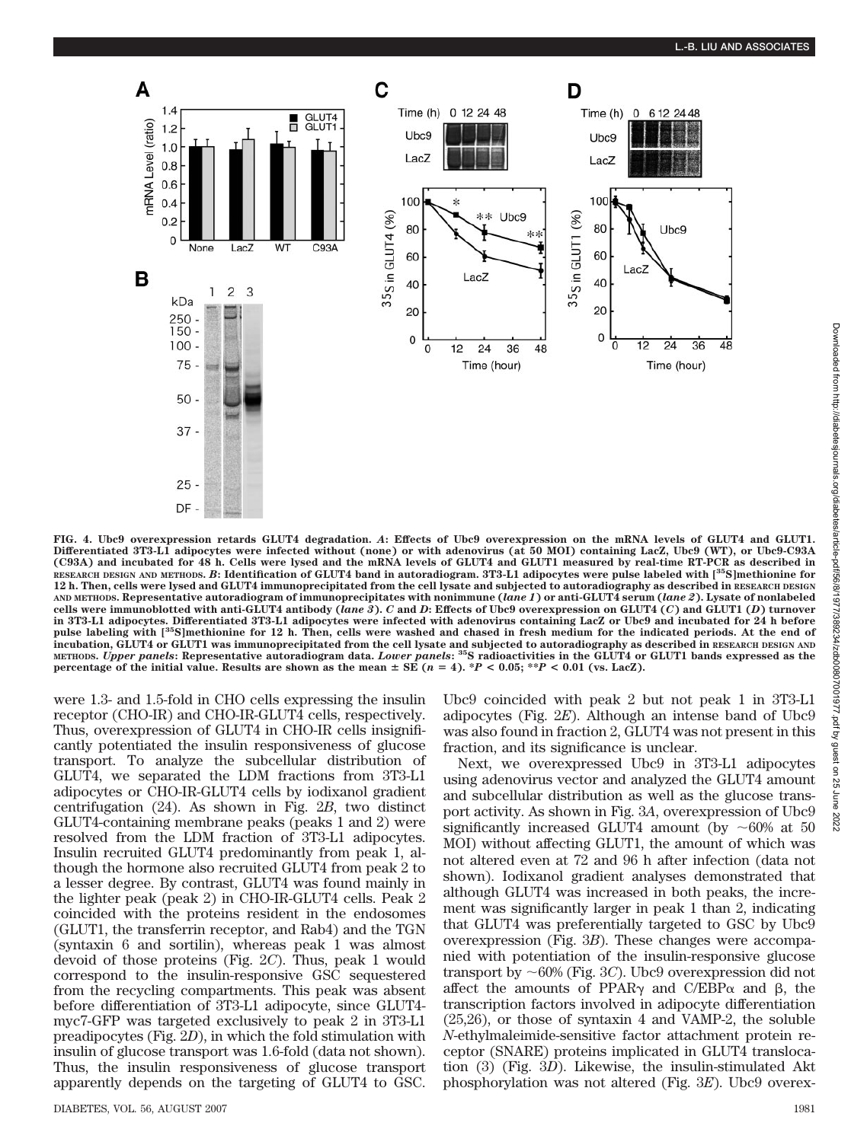

**FIG. 4. Ubc9 overexpression retards GLUT4 degradation.** *A***: Effects of Ubc9 overexpression on the mRNA levels of GLUT4 and GLUT1. Differentiated 3T3-L1 adipocytes were infected without (none) or with adenovirus (at 50 MOI) containing LacZ, Ubc9 (WT), or Ubc9-C93A (C93A) and incubated for 48 h. Cells were lysed and the mRNA levels of GLUT4 and GLUT1 measured by real-time RT-PCR as described in RESEARCH DESIGN AND METHODS.** *B***: Identification of GLUT4 band in autoradiogram. 3T3-L1 adipocytes were pulse labeled with [35S]methionine for 12 h. Then, cells were lysed and GLUT4 immunoprecipitated from the cell lysate and subjected to autoradiography as described in RESEARCH DESIGN AND METHODS. Representative autoradiogram of immunoprecipitates with nonimmune (***lane 1***) or anti-GLUT4 serum (***lane 2***). Lysate of nonlabeled cells were immunoblotted with anti-GLUT4 antibody (***lane 3***).** *C* **and** *D***: Effects of Ubc9 overexpression on GLUT4 (***C***) and GLUT1 (***D***) turnover in 3T3-L1 adipocytes. Differentiated 3T3-L1 adipocytes were infected with adenovirus containing LacZ or Ubc9 and incubated for 24 h before pulse labeling with [35S]methionine for 12 h. Then, cells were washed and chased in fresh medium for the indicated periods. At the end of incubation, GLUT4 or GLUT1 was immunoprecipitated from the cell lysate and subjected to autoradiography as described in RESEARCH DESIGN AND METHODS.** *Upper panels***: Representative autoradiogram data.** *Lower panels***: 35S radioactivities in the GLUT4 or GLUT1 bands expressed as the percentage of the initial value. Results are shown as the mean**  $\pm$  **SE (** $n = 4$ **). \****P* **< 0.05; \*\****P* **< 0.01 (vs. LacZ).** 

were 1.3- and 1.5-fold in CHO cells expressing the insulin receptor (CHO-IR) and CHO-IR-GLUT4 cells, respectively. Thus, overexpression of GLUT4 in CHO-IR cells insignificantly potentiated the insulin responsiveness of glucose transport. To analyze the subcellular distribution of GLUT4, we separated the LDM fractions from 3T3-L1 adipocytes or CHO-IR-GLUT4 cells by iodixanol gradient centrifugation (24). As shown in Fig. 2*B*, two distinct GLUT4-containing membrane peaks (peaks 1 and 2) were resolved from the LDM fraction of 3T3-L1 adipocytes. Insulin recruited GLUT4 predominantly from peak 1, although the hormone also recruited GLUT4 from peak 2 to a lesser degree. By contrast, GLUT4 was found mainly in the lighter peak (peak 2) in CHO-IR-GLUT4 cells. Peak 2 coincided with the proteins resident in the endosomes (GLUT1, the transferrin receptor, and Rab4) and the TGN (syntaxin 6 and sortilin), whereas peak 1 was almost devoid of those proteins (Fig. 2*C*). Thus, peak 1 would correspond to the insulin-responsive GSC sequestered from the recycling compartments. This peak was absent before differentiation of 3T3-L1 adipocyte, since GLUT4 myc7-GFP was targeted exclusively to peak 2 in 3T3-L1 preadipocytes (Fig. 2*D*), in which the fold stimulation with insulin of glucose transport was 1.6-fold (data not shown). Thus, the insulin responsiveness of glucose transport apparently depends on the targeting of GLUT4 to GSC.

Ubc9 coincided with peak 2 but not peak 1 in 3T3-L1 adipocytes (Fig. 2*E*). Although an intense band of Ubc9 was also found in fraction 2, GLUT4 was not present in this fraction, and its significance is unclear.

Next, we overexpressed Ubc9 in 3T3-L1 adipocytes using adenovirus vector and analyzed the GLUT4 amount and subcellular distribution as well as the glucose transport activity. As shown in Fig. 3*A*, overexpression of Ubc9 significantly increased GLUT4 amount (by  $\sim 60\%$  at 50 MOI) without affecting GLUT1, the amount of which was not altered even at 72 and 96 h after infection (data not shown). Iodixanol gradient analyses demonstrated that although GLUT4 was increased in both peaks, the increment was significantly larger in peak 1 than 2, indicating that GLUT4 was preferentially targeted to GSC by Ubc9 overexpression (Fig. 3*B*). These changes were accompanied with potentiation of the insulin-responsive glucose transport by  $\sim$  60% (Fig. 3*C*). Ubc9 overexpression did not affect the amounts of PPAR $\gamma$  and C/EBP $\alpha$  and  $\beta$ , the transcription factors involved in adipocyte differentiation (25,26), or those of syntaxin 4 and VAMP-2, the soluble *N*-ethylmaleimide-sensitive factor attachment protein receptor (SNARE) proteins implicated in GLUT4 translocation (3) (Fig. 3*D*). Likewise, the insulin-stimulated Akt phosphorylation was not altered (Fig. 3*E*). Ubc9 overex-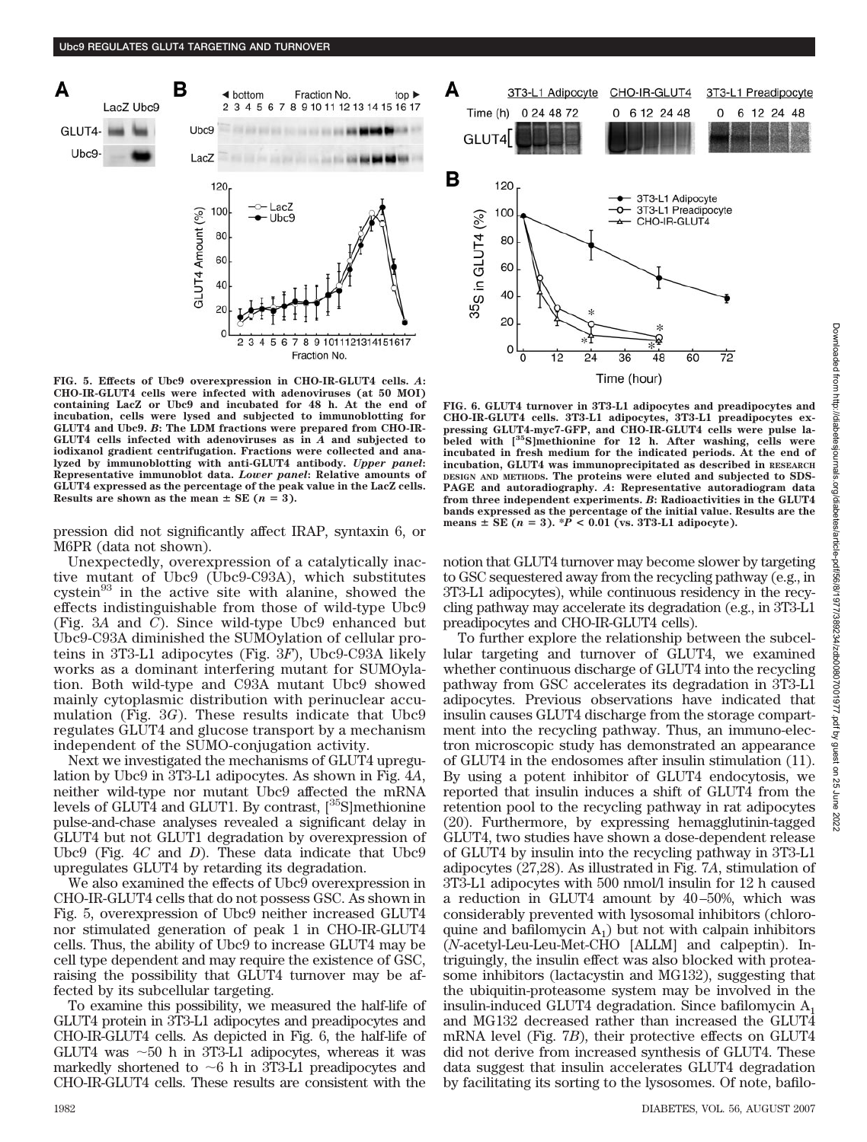

**FIG. 5. Effects of Ubc9 overexpression in CHO-IR-GLUT4 cells.** *A***: CHO-IR-GLUT4 cells were infected with adenoviruses (at 50 MOI) containing LacZ or Ubc9 and incubated for 48 h. At the end of incubation, cells were lysed and subjected to immunoblotting for GLUT4 and Ubc9.** *B***: The LDM fractions were prepared from CHO-IR-GLUT4 cells infected with adenoviruses as in** *A* **and subjected to iodixanol gradient centrifugation. Fractions were collected and analyzed by immunoblotting with anti-GLUT4 antibody.** *Upper panel***: Representative immunoblot data.** *Lower panel***: Relative amounts of GLUT4 expressed as the percentage of the peak value in the LacZ cells. Results are shown as the mean**  $\pm$  **SE** ( $n = 3$ ).

pression did not significantly affect IRAP, syntaxin 6, or M6PR (data not shown).

Unexpectedly, overexpression of a catalytically inactive mutant of Ubc9 (Ubc9-C93A), which substitutes cystein<sup>93</sup> in the active site with alanine, showed the effects indistinguishable from those of wild-type Ubc9 (Fig. 3*A* and *C*). Since wild-type Ubc9 enhanced but Ubc9-C93A diminished the SUMOylation of cellular proteins in 3T3-L1 adipocytes (Fig. 3*F*), Ubc9-C93A likely works as a dominant interfering mutant for SUMOylation. Both wild-type and C93A mutant Ubc9 showed mainly cytoplasmic distribution with perinuclear accumulation (Fig. 3*G*). These results indicate that Ubc9 regulates GLUT4 and glucose transport by a mechanism independent of the SUMO-conjugation activity.

Next we investigated the mechanisms of GLUT4 upregulation by Ubc9 in 3T3-L1 adipocytes. As shown in Fig. 4*A*, neither wild-type nor mutant Ubc9 affected the mRNA levels of GLUT4 and GLUT1. By contrast, [<sup>35</sup>S]methionine pulse-and-chase analyses revealed a significant delay in GLUT4 but not GLUT1 degradation by overexpression of Ubc9 (Fig. 4*C* and *D*). These data indicate that Ubc9 upregulates GLUT4 by retarding its degradation.

We also examined the effects of Ubc9 overexpression in CHO-IR-GLUT4 cells that do not possess GSC. As shown in Fig. 5, overexpression of Ubc9 neither increased GLUT4 nor stimulated generation of peak 1 in CHO-IR-GLUT4 cells. Thus, the ability of Ubc9 to increase GLUT4 may be cell type dependent and may require the existence of GSC, raising the possibility that GLUT4 turnover may be affected by its subcellular targeting.

To examine this possibility, we measured the half-life of GLUT4 protein in 3T3-L1 adipocytes and preadipocytes and CHO-IR-GLUT4 cells. As depicted in Fig. 6, the half-life of GLUT4 was  $\sim$  50 h in 3T3-L1 adipocytes, whereas it was markedly shortened to  $\sim$ 6 h in 3T3-L1 preadipocytes and CHO-IR-GLUT4 cells. These results are consistent with the



**FIG. 6. GLUT4 turnover in 3T3-L1 adipocytes and preadipocytes and CHO-IR-GLUT4 cells. 3T3-L1 adipocytes, 3T3-L1 preadipocytes expressing GLUT4-myc7-GFP, and CHO-IR-GLUT4 cells were pulse labeled with [35S]methionine for 12 h. After washing, cells were incubated in fresh medium for the indicated periods. At the end of incubation, GLUT4 was immunoprecipitated as described in RESEARCH DESIGN AND METHODS. The proteins were eluted and subjected to SDS-PAGE and autoradiography.** *A***: Representative autoradiogram data from three independent experiments.** *B***: Radioactivities in the GLUT4 bands expressed as the percentage of the initial value. Results are the means**  $\pm$  **<b>SE** ( $n = 3$ ). \* $P < 0.01$  (vs. 3T3-L1 adipocyte).

notion that GLUT4 turnover may become slower by targeting to GSC sequestered away from the recycling pathway (e.g., in 3T3-L1 adipocytes), while continuous residency in the recycling pathway may accelerate its degradation (e.g., in 3T3-L1 preadipocytes and CHO-IR-GLUT4 cells).

To further explore the relationship between the subcellular targeting and turnover of GLUT4, we examined whether continuous discharge of GLUT4 into the recycling pathway from GSC accelerates its degradation in 3T3-L1 adipocytes. Previous observations have indicated that insulin causes GLUT4 discharge from the storage compartment into the recycling pathway. Thus, an immuno-electron microscopic study has demonstrated an appearance of GLUT4 in the endosomes after insulin stimulation (11). By using a potent inhibitor of GLUT4 endocytosis, we reported that insulin induces a shift of GLUT4 from the retention pool to the recycling pathway in rat adipocytes (20). Furthermore, by expressing hemagglutinin-tagged GLUT4, two studies have shown a dose-dependent release of GLUT4 by insulin into the recycling pathway in 3T3-L1 adipocytes (27,28). As illustrated in Fig. 7*A*, stimulation of 3T3-L1 adipocytes with 500 nmol/l insulin for 12 h caused a reduction in GLUT4 amount by 40–50%, which was considerably prevented with lysosomal inhibitors (chloroquine and bafilomycin  $A_1$ ) but not with calpain inhibitors (*N*-acetyl-Leu-Leu-Met-CHO [ALLM] and calpeptin). Intriguingly, the insulin effect was also blocked with proteasome inhibitors (lactacystin and MG132), suggesting that the ubiquitin-proteasome system may be involved in the insulin-induced GLUT4 degradation. Since bafilomycin  $A_1$ and MG132 decreased rather than increased the GLUT4 mRNA level (Fig. 7*B*), their protective effects on GLUT4 did not derive from increased synthesis of GLUT4. These data suggest that insulin accelerates GLUT4 degradation by facilitating its sorting to the lysosomes. Of note, bafilo-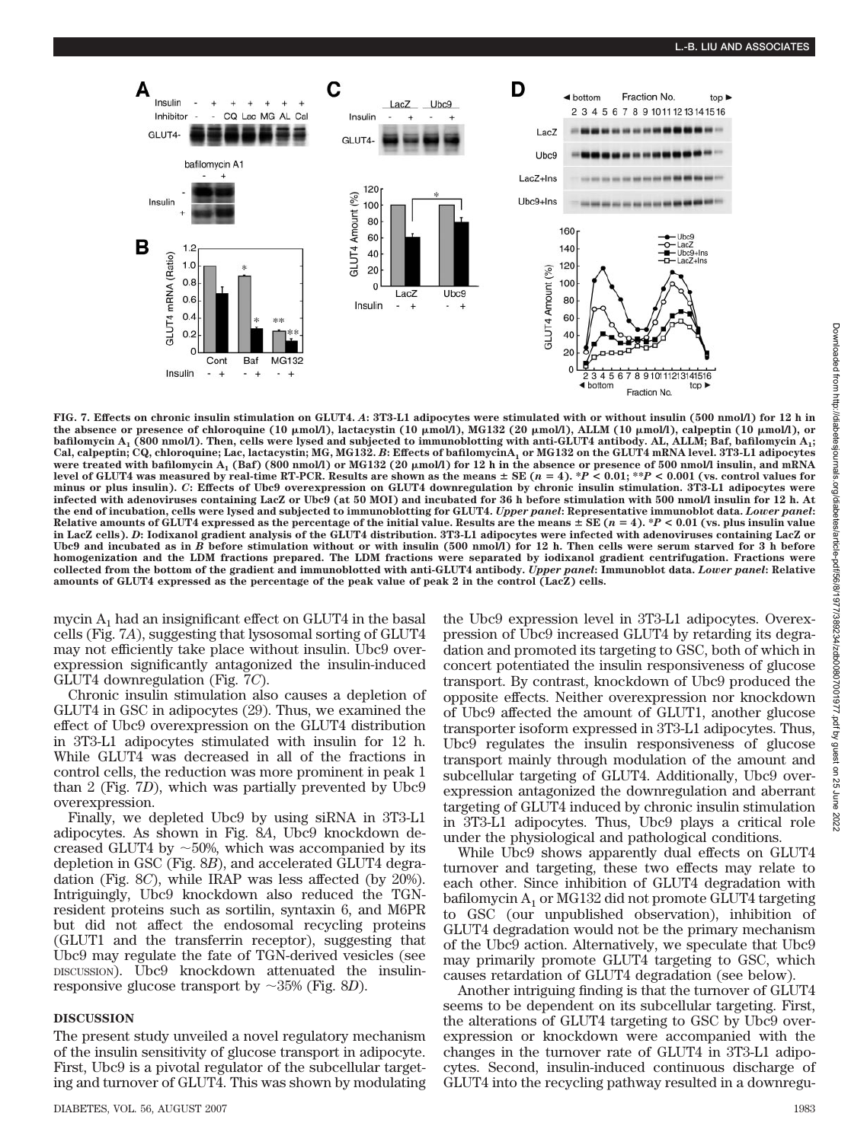

**FIG. 7. Effects on chronic insulin stimulation on GLUT4.** *A***: 3T3-L1 adipocytes were stimulated with or without insulin (500 nmol/l) for 12 h in the absence or presence of chloroquine (10 mol/l), lactacystin (10 mol/l), MG132 (20 mol/l), ALLM (10 mol/l), calpeptin (10 mol/l), or bafilomycin A1 (800 nmol/l). Then, cells were lysed and subjected to immunoblotting with anti-GLUT4 antibody. AL, ALLM; Baf, bafilomycin A1;** Cal, calpeptin; CQ, chloroquine; Lac, lactacystin; MG, MG132. *B*: Effects of bafilomycinA, or MG132 on the GLUT4 mRNA level. 3T3-L1 adipocytes **were treated with bafilomycin A1 (Baf) (800 nmol/l) or MG132 (20 mol/l) for 12 h in the absence or presence of 500 nmol/l insulin, and mRNA** level of GLUT4 was measured by real-time RT-PCR. Results are shown as the means  $\pm$  SE ( $n = 4$ ).  $^*P < 0.01;$   $^{**P} < 0.001$  (vs. control values for **minus or plus insulin).** *C***: Effects of Ubc9 overexpression on GLUT4 downregulation by chronic insulin stimulation. 3T3-L1 adipocytes were infected with adenoviruses containing LacZ or Ubc9 (at 50 MOI) and incubated for 36 h before stimulation with 500 nmol/l insulin for 12 h. At the end of incubation, cells were lysed and subjected to immunoblotting for GLUT4.** *Upper panel***: Representative immunoblot data.** *Lower panel***:** Relative amounts of GLUT4 expressed as the percentage of the initial value. Results are the means  $\pm$  SE ( $n = 4$ ). \* $P < 0.01$  (vs. plus insulin value **in LacZ cells).** *D***: Iodixanol gradient analysis of the GLUT4 distribution. 3T3-L1 adipocytes were infected with adenoviruses containing LacZ or Ubc9 and incubated as in** *B* **before stimulation without or with insulin (500 nmol/l) for 12 h. Then cells were serum starved for 3 h before homogenization and the LDM fractions prepared. The LDM fractions were separated by iodixanol gradient centrifugation. Fractions were collected from the bottom of the gradient and immunoblotted with anti-GLUT4 antibody.** *Upper panel***: Immunoblot data.** *Lower panel***: Relative amounts of GLUT4 expressed as the percentage of the peak value of peak 2 in the control (LacZ) cells.**

mycin  $A_1$  had an insignificant effect on GLUT4 in the basal cells (Fig. 7*A*), suggesting that lysosomal sorting of GLUT4 may not efficiently take place without insulin. Ubc9 overexpression significantly antagonized the insulin-induced GLUT4 downregulation (Fig. 7*C*).

Chronic insulin stimulation also causes a depletion of GLUT4 in GSC in adipocytes (29). Thus, we examined the effect of Ubc9 overexpression on the GLUT4 distribution in 3T3-L1 adipocytes stimulated with insulin for 12 h. While GLUT4 was decreased in all of the fractions in control cells, the reduction was more prominent in peak 1 than 2 (Fig. 7*D*), which was partially prevented by Ubc9 overexpression.

Finally, we depleted Ubc9 by using siRNA in 3T3-L1 adipocytes. As shown in Fig. 8*A*, Ubc9 knockdown decreased GLUT4 by  $\sim$  50%, which was accompanied by its depletion in GSC (Fig. 8*B*), and accelerated GLUT4 degradation (Fig. 8*C*), while IRAP was less affected (by 20%). Intriguingly, Ubc9 knockdown also reduced the TGNresident proteins such as sortilin, syntaxin 6, and M6PR but did not affect the endosomal recycling proteins (GLUT1 and the transferrin receptor), suggesting that Ubc9 may regulate the fate of TGN-derived vesicles (see DISCUSSION). Ubc9 knockdown attenuated the insulinresponsive glucose transport by  $\sim$ 35% (Fig. 8*D*).

# **DISCUSSION**

The present study unveiled a novel regulatory mechanism of the insulin sensitivity of glucose transport in adipocyte. First, Ubc9 is a pivotal regulator of the subcellular targeting and turnover of GLUT4. This was shown by modulating the Ubc9 expression level in 3T3-L1 adipocytes. Overexpression of Ubc9 increased GLUT4 by retarding its degradation and promoted its targeting to GSC, both of which in concert potentiated the insulin responsiveness of glucose transport. By contrast, knockdown of Ubc9 produced the opposite effects. Neither overexpression nor knockdown of Ubc9 affected the amount of GLUT1, another glucose transporter isoform expressed in 3T3-L1 adipocytes. Thus, Ubc9 regulates the insulin responsiveness of glucose transport mainly through modulation of the amount and subcellular targeting of GLUT4. Additionally, Ubc9 overexpression antagonized the downregulation and aberrant targeting of GLUT4 induced by chronic insulin stimulation in 3T3-L1 adipocytes. Thus, Ubc9 plays a critical role under the physiological and pathological conditions.

While Ubc9 shows apparently dual effects on GLUT4 turnover and targeting, these two effects may relate to each other. Since inhibition of GLUT4 degradation with bafilomycin  $A_1$  or MG132 did not promote GLUT4 targeting to GSC (our unpublished observation), inhibition of GLUT4 degradation would not be the primary mechanism of the Ubc9 action. Alternatively, we speculate that Ubc9 may primarily promote GLUT4 targeting to GSC, which causes retardation of GLUT4 degradation (see below).

Another intriguing finding is that the turnover of GLUT4 seems to be dependent on its subcellular targeting. First, the alterations of GLUT4 targeting to GSC by Ubc9 overexpression or knockdown were accompanied with the changes in the turnover rate of GLUT4 in 3T3-L1 adipocytes. Second, insulin-induced continuous discharge of GLUT4 into the recycling pathway resulted in a downregu-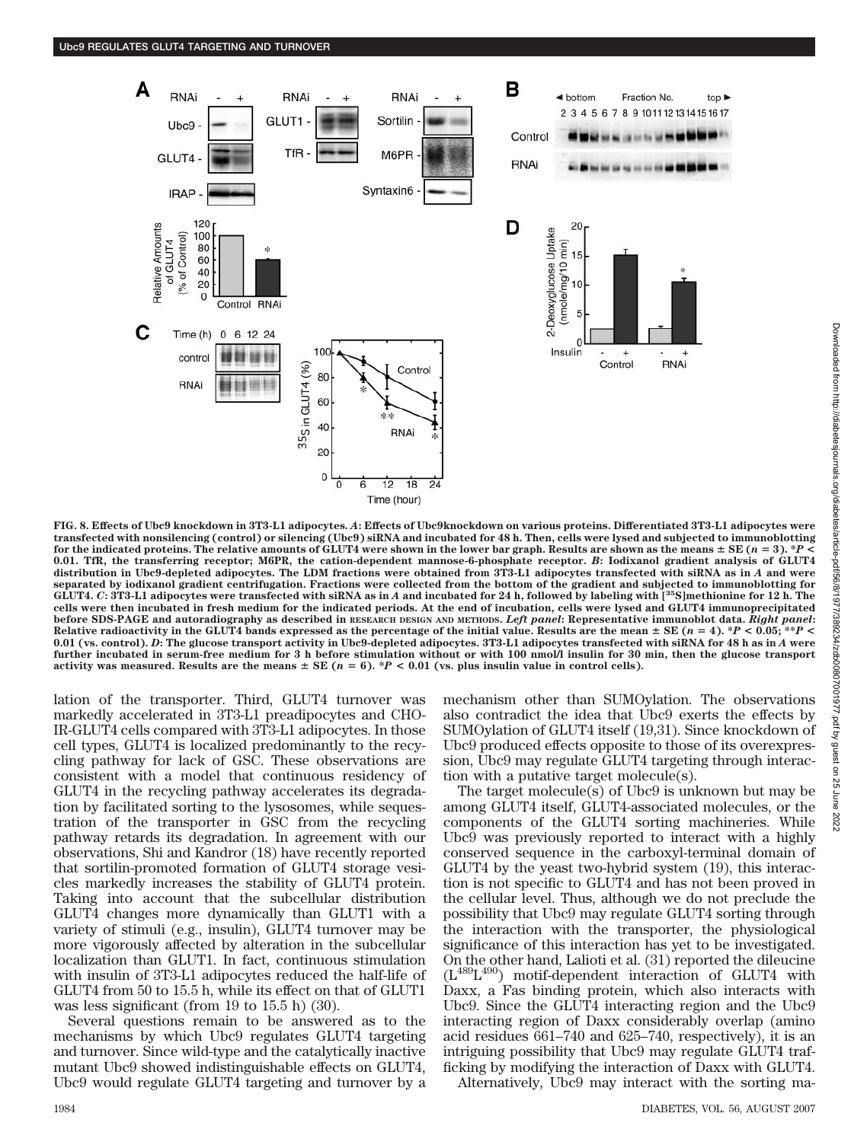

**FIG. 8. Effects of Ubc9 knockdown in 3T3-L1 adipocytes.** *A***: Effects of Ubc9knockdown on various proteins. Differentiated 3T3-L1 adipocytes were transfected with nonsilencing (control) or silencing (Ubc9) siRNA and incubated for 48 h. Then, cells were lysed and subjected to immunoblotting** for the indicated proteins. The relative amounts of GLUT4 were shown in the lower bar graph. Results are shown as the means  $\pm$  SE ( $n=3$ ).  $^{\ast}P$  < **0.01. TfR, the transferring receptor; M6PR, the cation-dependent mannose-6-phosphate receptor.** *B***: Iodixanol gradient analysis of GLUT4 distribution in Ubc9-depleted adipocytes. The LDM fractions were obtained from 3T3-L1 adipocytes transfected with siRNA as in** *A* **and were separated by iodixanol gradient centrifugation. Fractions were collected from the bottom of the gradient and subjected to immunoblotting for GLUT4.** *C***: 3T3-L1 adipocytes were transfected with siRNA as in** *A* **and incubated for 24 h, followed by labeling with [35S]methionine for 12 h. The cells were then incubated in fresh medium for the indicated periods. At the end of incubation, cells were lysed and GLUT4 immunoprecipitated before SDS-PAGE and autoradiography as described in RESEARCH DESIGN AND METHODS.** *Left panel***: Representative immunoblot data.** *Right panel***:** Relative radioactivity in the GLUT4 bands expressed as the percentage of the initial value. Results are the mean  $\pm$  SE ( $n=4$ ). \* $P < 0.05;$  \*\* $P <$ **0.01 (vs. control).** *D***: The glucose transport activity in Ubc9-depleted adipocytes. 3T3-L1 adipocytes transfected with siRNA for 48 h as in** *A* **were further incubated in serum-free medium for 3 h before stimulation without or with 100 nmol/l insulin for 30 min, then the glucose transport activity was measured. Results are the means**  $\pm$  SE ( $n = 6$ ). \**P* < 0.01 (vs. plus insulin value in control cells).

lation of the transporter. Third, GLUT4 turnover was markedly accelerated in 3T3-L1 preadipocytes and CHO-IR-GLUT4 cells compared with 3T3-L1 adipocytes. In those cell types, GLUT4 is localized predominantly to the recycling pathway for lack of GSC. These observations are consistent with a model that continuous residency of GLUT4 in the recycling pathway accelerates its degradation by facilitated sorting to the lysosomes, while sequestration of the transporter in GSC from the recycling pathway retards its degradation. In agreement with our observations, Shi and Kandror (18) have recently reported that sortilin-promoted formation of GLUT4 storage vesicles markedly increases the stability of GLUT4 protein. Taking into account that the subcellular distribution GLUT4 changes more dynamically than GLUT1 with a variety of stimuli (e.g., insulin), GLUT4 turnover may be more vigorously affected by alteration in the subcellular localization than GLUT1. In fact, continuous stimulation with insulin of 3T3-L1 adipocytes reduced the half-life of GLUT4 from 50 to 15.5 h, while its effect on that of GLUT1 was less significant (from 19 to 15.5 h) (30).

Several questions remain to be answered as to the mechanisms by which Ubc9 regulates GLUT4 targeting and turnover. Since wild-type and the catalytically inactive mutant Ubc9 showed indistinguishable effects on GLUT4, Ubc9 would regulate GLUT4 targeting and turnover by a mechanism other than SUMOylation. The observations also contradict the idea that Ubc9 exerts the effects by SUMOylation of GLUT4 itself (19,31). Since knockdown of Ubc9 produced effects opposite to those of its overexpression, Ubc9 may regulate GLUT4 targeting through interaction with a putative target molecule(s).

The target molecule(s) of Ubc9 is unknown but may be among GLUT4 itself, GLUT4-associated molecules, or the components of the GLUT4 sorting machineries. While Ubc9 was previously reported to interact with a highly conserved sequence in the carboxyl-terminal domain of GLUT4 by the yeast two-hybrid system (19), this interaction is not specific to GLUT4 and has not been proved in the cellular level. Thus, although we do not preclude the possibility that Ubc9 may regulate GLUT4 sorting through the interaction with the transporter, the physiological significance of this interaction has yet to be investigated. On the other hand, Lalioti et al. (31) reported the dileucine  $(L^{489}L^{490})$  motif-dependent interaction of GLUT4 with Daxx, a Fas binding protein, which also interacts with Ubc9. Since the GLUT4 interacting region and the Ubc9 interacting region of Daxx considerably overlap (amino acid residues 661–740 and 625–740, respectively), it is an intriguing possibility that Ubc9 may regulate GLUT4 trafficking by modifying the interaction of Daxx with GLUT4.

Alternatively, Ubc9 may interact with the sorting ma-